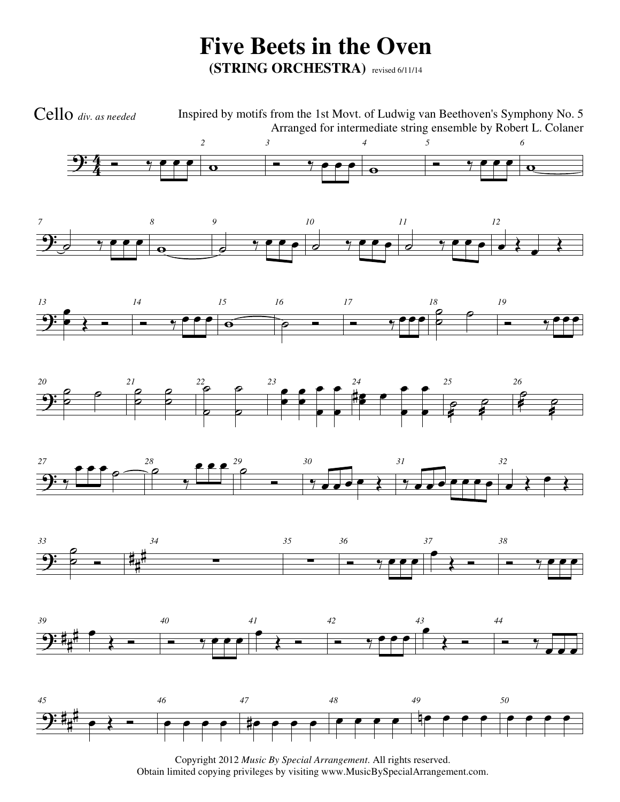## **Five Beets in the Oven (STRING ORCHESTRA)** revised 6/11/14

 $9:4$  $\frac{4}{4}$  —  $\frac{9}{4}$  e e e *2*  $\overline{\mathbf{o}}$ *3*  $\frac{1}{\sqrt{2}}$ *4*  $\overline{\mathbf{o}}$ *5*  $\overline{\phantom{a}}$   $\overline{\phantom{a}}$   $\overline{\phantom{a}}$   $\overline{\phantom{a}}$   $\overline{\phantom{a}}$   $\overline{\phantom{a}}$   $\overline{\phantom{a}}$   $\overline{\phantom{a}}$   $\overline{\phantom{a}}$   $\overline{\phantom{a}}$   $\overline{\phantom{a}}$   $\overline{\phantom{a}}$   $\overline{\phantom{a}}$   $\overline{\phantom{a}}$   $\overline{\phantom{a}}$   $\overline{\phantom{a}}$   $\overline{\phantom{a}}$   $\overline{\phantom{a}}$   $\overline{\$ *6*  $\overline{\mathbf{o}}$ **9:** *7*  $\circ$   $\bullet$   $\bullet$   $\bullet$ *8* a *9*  $\overline{\mathbf{z}}$  $9^\circ$   $^\circ$   $^\circ$ *10*  $\circ$   $\bullet$   $\bullet$ *11*  $\circ$   $\circ$   $\circ$ *12*  $\rightarrow$ œ Œ <u>):</u> *13* e<br>=  $\begin{array}{c} \bullet \\ \bullet \end{array}$ *14*  $\frac{1}{\sqrt{2}}$  $\bullet \bullet \bullet$ *15*  $\vec{0}$ *16*  $\circ$   $\qquad$ *17*  $\overline{\phantom{a}}$ œœœ *18* 。<br>。 ˙  $\overline{e}$ *19*  $\overline{\phantom{a}}$ œœœ <u>):</u> *20*  $\frac{1}{2}$  $\overline{\bullet}$  $\bullet$ *21*  $\frac{1}{2}$  $\overline{\bullet}$  $\frac{1}{2}$  $\breve{\mathsf{p}}$ *22*  $\stackrel{\scriptscriptstyle\circ}{=}\,$ ˙  $\bullet$ ِ<br>ا لا *23* œ œ œ œ œ œ œ œ *24* œ œ # œ œ œ œ œ *25* ˙ @ ˙ @ *26* ˙ @ ˙ @ <u>):</u> *27*  $\overline{y}$  $\bullet \bullet \bullet$ *28* ˙  $\frac{9}{2}$ œ œ œ *<sup>29</sup>* ˙ Í. *30*  $^{\circ}$   $^{\circ}$   $^{\circ}$   $^{\circ}$   $^{\circ}$   $^{\circ}$   $^{\circ}$   $^{\circ}$   $^{\circ}$   $^{\circ}$   $^{\circ}$   $^{\circ}$   $^{\circ}$   $^{\circ}$   $^{\circ}$   $^{\circ}$   $^{\circ}$   $^{\circ}$   $^{\circ}$   $^{\circ}$   $^{\circ}$   $^{\circ}$   $^{\circ}$   $^{\circ}$   $^{\circ}$   $^{\circ}$   $^{\circ}$   $^{\circ}$   $^{\circ}$   $^{\circ}$   $^{\circ}$   $^{\circ$ *31*  $^{\circ}$   $^{\circ}$   $^{\circ}$   $^{\circ}$   $^{\circ}$   $^{\circ}$   $^{\circ}$   $^{\circ}$   $^{\circ}$   $^{\circ}$   $^{\circ}$   $^{\circ}$   $^{\circ}$   $^{\circ}$   $^{\circ}$   $^{\circ}$   $^{\circ}$   $^{\circ}$   $^{\circ}$   $^{\circ}$   $^{\circ}$   $^{\circ}$   $^{\circ}$   $^{\circ}$   $^{\circ}$   $^{\circ}$   $^{\circ}$   $^{\circ}$   $^{\circ}$   $^{\circ}$   $^{\circ}$   $^{\circ$ *32*  $\longrightarrow$ œ Œ  $9: 2 - 4$ # # *33*  $\frac{1}{2}$  $\overline{\circ}$   $\overline{\phantom{a}}$ *34* ∑ *35* ∑ *36* Ó ‰ œ œ œ *37* œ  $\frac{\lambda}{\lambda}$ *38*  $\frac{1}{\sqrt{2}}$  $9:$   $\sharp$ # *39* œ  $\leftarrow$ *40* Ó ‰ œ œ œ *41* œ  $\leftarrow$ *42*  $\overline{\phantom{a}}$  $\bullet \bullet \bullet$ *43* œ  $\leftarrow$ *44*  $\frac{1}{\sqrt{2}}$ œ œ œ  $9:$  # # *45*  $\bullet$   $\overline{\bullet}$   $\overline{\bullet}$ *46*  $\bullet$   $\bullet$   $\bullet$   $\bullet$ *47*  $\frac{1}{2}$  e e e e *48* œ œ œ œ *49*  $\bullet$   $\bullet$   $\bullet$   $\bullet$ *50* œ œ œ œ Inspired by motifs from the 1st Movt. of Ludwig van Beethoven's Symphony No. 5 Arranged for intermediate string ensemble by Robert L. Colaner Cello *div. as needed*

Copyright 2012 *Music By Special Arrangement*. All rights reserved. Obtain limited copying privileges by visiting www.MusicBySpecialArrangement.com.